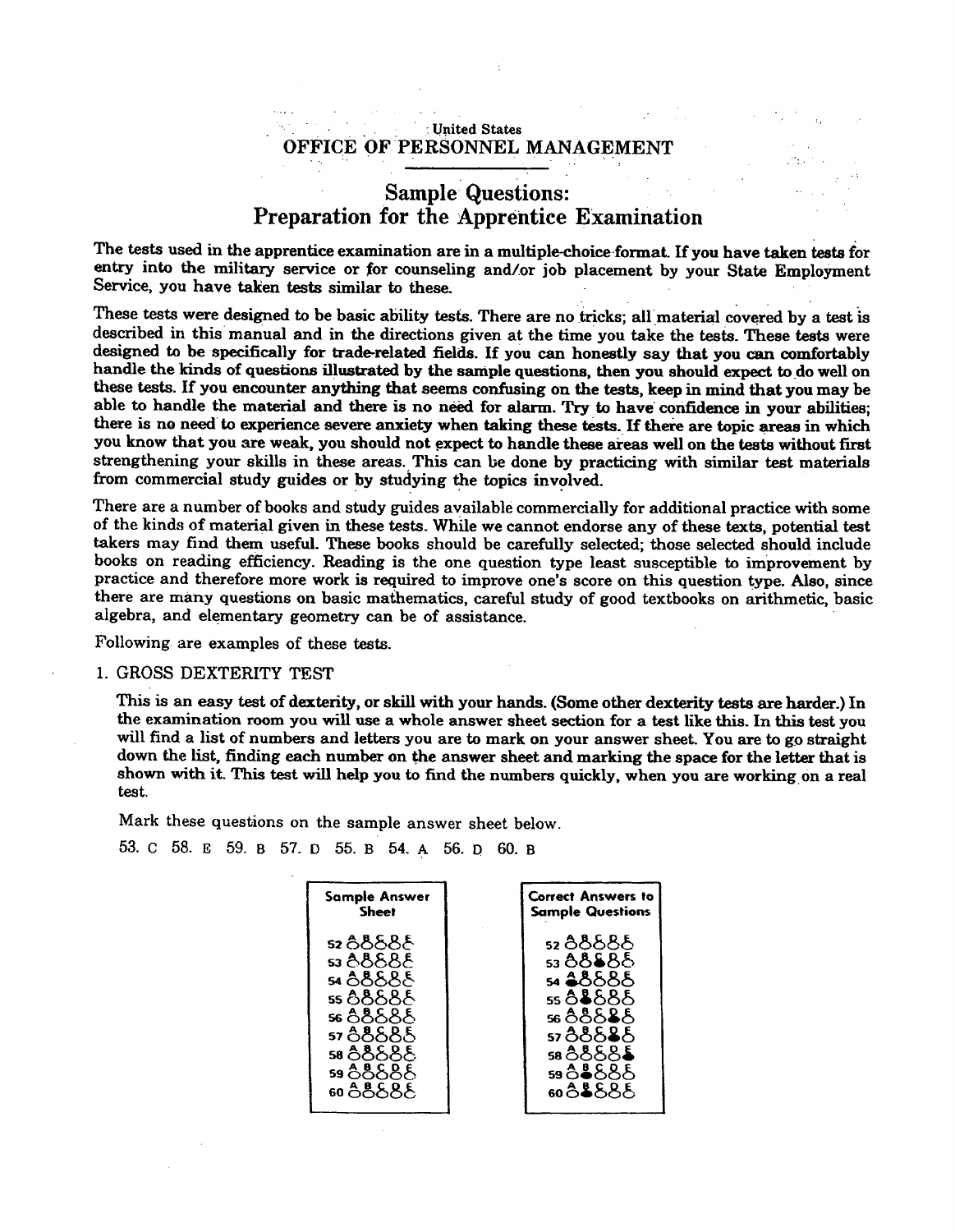# United States OFFICE OF PERSONNEL MANAGEMENT

# Sample Questions: Preparation for the Apprentice Examination

The tests used in the apprentice examination are in a multiple-choice-format . If you have taken tests for entry into the military service or for counseling and/or job placement by your State Employment Service, you have taken tests similar to these.

These tests were designed to be basic ability tests. There are no tricks; all material covered by a test is described in this manual and in the directions given at the time you take the tests. These tests were designed to be specifically for trade-related fields . If you can honestly say that you can comfortably handle the kinds of questions illustrated by the sample questions, then you should expect to do well on these tests. If you encounter anything that seems confusing on the tests, keep in mind that you may be able to handle the material and there is no need for alarm. Try to have confidence in your abilities; there is no need to experience severe anxiety when taking these tests . If there are topic areas in which you know that you are weak, you should not expect to handle these areas well on the tests without first strengthening your skills in these areas . This can be done by practicing with similar test materials from commercial study guides or by studying the topics involved.

There are a number of books and study guides available commercially for additional practice with some of the kinds of material given in these tests . While we cannot endorse any of these texts, potential test takers may find them useful. These books should be carefully selected; those selected should include books on reading efficiency. Reading is the one question type least susceptible to improvement by practice and therefore more work is required to improve one's score on this question type . Also, since there are many questions on basic mathematics, careful study of good textbooks on arithmetic, basic algebra, and elementary geometry can be of assistance.

Following are examples of these tests.

### 1. GROSS DEXTERITY TEST

This is an easy test of dexterity, or skill with your hands . (Some other dexterity tests are harder.) In the examination room you will use a whole answer sheet section for a test like this . In this test you will find a list of numbers and letters you are to mark on your answer sheet. You are to go straight down the list, finding each number on the answer sheet and marking the space for the letter that is shown with it. This test will help you to find the numbers quickly, when you are working on a real test.

Mark these questions on the sample answer sheet below .

53. c 58. E 59. B 57. D 55. B 54. A 56. D 60. B

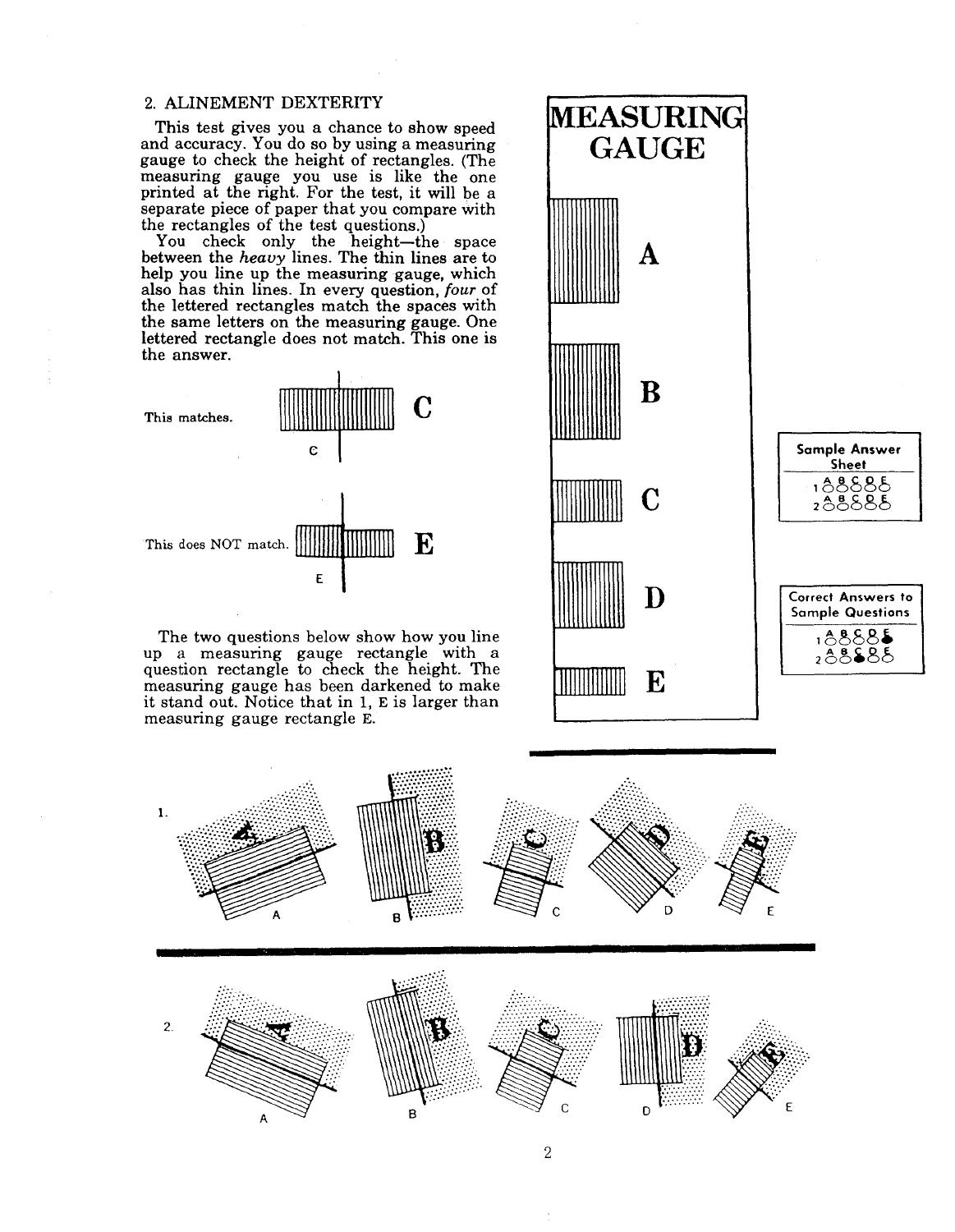# 2. ALINEMENT DEXTERITY

This test gives you a chance to show speed and accuracy. You do so by using a measuring gauge to check the height of rectangles . (The measuring gauge you use is like the one printed at the right . For the test, it will be a separate piece of paper that you compare with the rectangles of the test questions .)

You check only the height-the space between the heavy lines . The thin lines are to help you line up the measuring gauge, which also has thin lines. In every question, four of the lettered rectangles match the spaces with the same letters on the measuring gauge . One lettered rectangle does not match . This one is the answer.



The two questions below show how you line up a measuring gauge rectangle with a question rectangle to check the height. The measuring gauge has been darkened to make it stand out. Notice that in 1, E is larger than measuring gauge rectangle E.



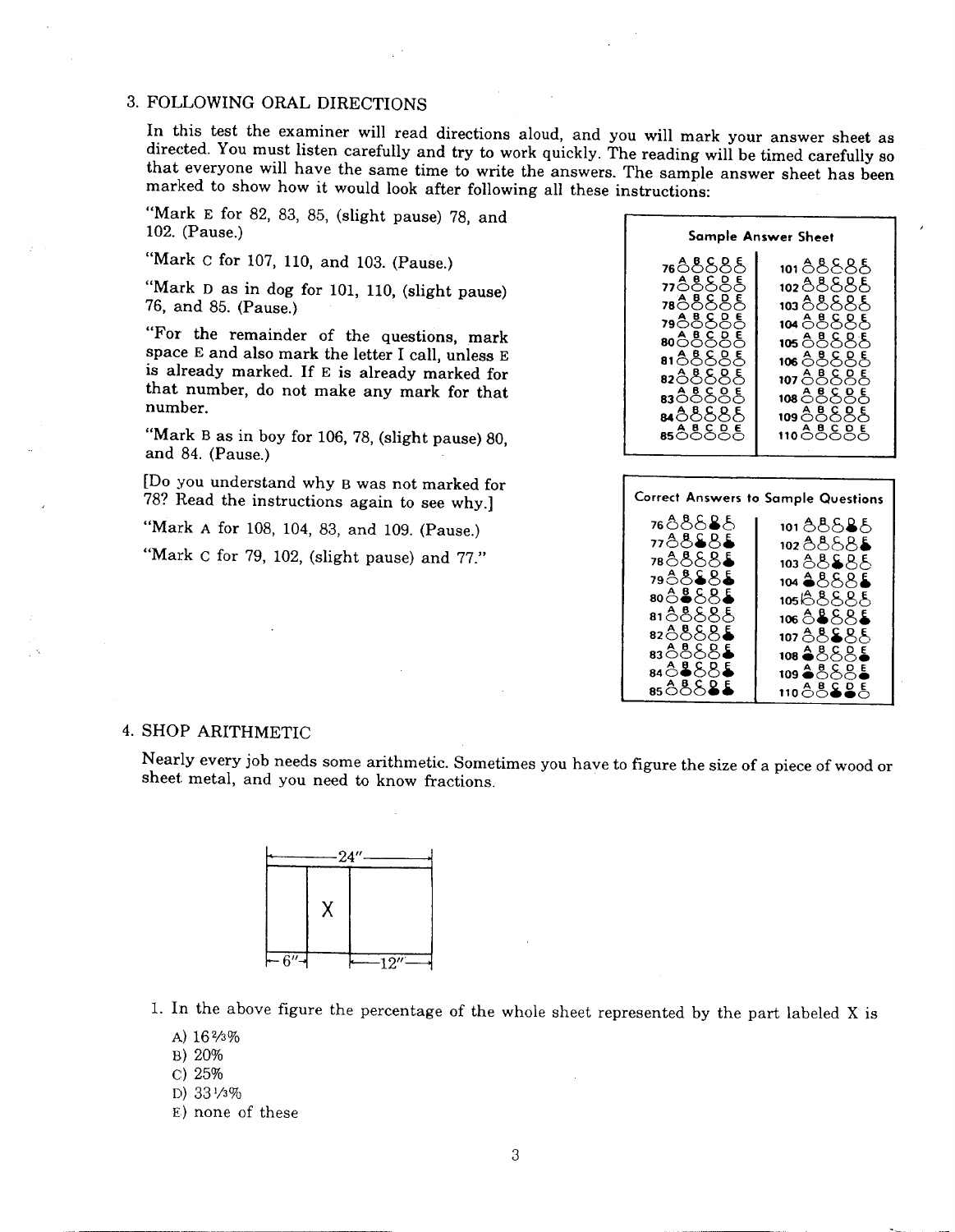# 3. FOLLOWING ORAL DIRECTIONS

 

In this test the examiner will read directions aloud, and you will mark your answer sheet as directed. You must listen carefully and try to work quickly . The reading will be timed carefully so that everyone will have the same time to write the answers . The sample answer sheet has been marked to show how it would look after following all these instructions:

"Mark E for 82, 83, 85, (slight pause) 78, and 102. (Pause.)

"Mark C for 107, 110, and 103. (Pause.)

"Mark D as in dog for 101, 110, (slight pause) 76, and 85 . (Pause.)

"For the remainder of the questions, mark space E and also mark the letter I call, unless E is already marked. If E is already marked for that number, do not make any mark for that number.

"Mark B as in boy for 106, 78, (slight pause) 80, and 84. (Pause.)

[Do you understand why B was not marked for 78? Read the instructions again to see why.]

"Mark A for 108, 104, 83, and 109. (Pause.)

"Mark C for 79, 102, (slight pause) and  $77$ ."

| <b>Sample Answer Sheet</b>                                                                                                                                                                         |                                                                                                                                                                                                    |  |
|----------------------------------------------------------------------------------------------------------------------------------------------------------------------------------------------------|----------------------------------------------------------------------------------------------------------------------------------------------------------------------------------------------------|--|
| ෂයීරීරිරිරි<br><b>77</b> దీరీర్<br>78 පිරිපිරි<br><b>အ</b> ခံခံခံရေး<br><b>80</b> ခံ ခံ ခံ ခံ ခံ<br>81 පිපිරිපිළි<br>82 ථි රිරි රිරි<br><b>83</b> ီငံိ်<br>ෂයීර්රිරිරි<br><b>85</b> ခံ ခံ ခံ ခံ ခံ | 101 රිර්රිරිර්<br>10288885<br>103 රිරිරිරිරි<br>104 රිර්රිරිර්<br>105 රිර්රිරිරි<br>106 රිර්රිරි<br>107 ෆීෆ <u>ී</u> රිෆිං<br>108 රිර්රිරිර්<br>109 ခံခံ ခံ ရွိ ရွ<br>$\epsilon$<br>110 ခံခံခံခံခံ |  |

|                                                                                                                                      | <b>Correct Answers to Sample Questions</b>                                                                                                                 |
|--------------------------------------------------------------------------------------------------------------------------------------|------------------------------------------------------------------------------------------------------------------------------------------------------------|
| 888888<br>7788885<br>78 ෆී ෆී ෆී ෆී <mark>8</mark><br>29388.8<br>8088888<br>81 පිපිරිපිරි<br>8288885<br><b>ේ</b> ර්රිරිඩ්<br>8488885 | 101 88888<br>102 A A S A <b>S</b><br>103 AAS A.A<br>$104$ $4888$<br>105 පිරිරිවර්<br>106 A&S A&<br>107 A&S & A &<br>108 <del>4</del> 8 8 8 8<br>109 4888.5 |
| 85 3 3 3 4 5                                                                                                                         | 11088885                                                                                                                                                   |

# 4. SHOP ARITHMETIC

Nearly every job needs some arithmetic. Sometimes you have to figure the size of a piece of wood or sheet metal, and you need to know fractions.



1. In the above figure the percentage of the whole sheet represented by the part labeled X is

- A) 16 <sup>2</sup>/3%
- B) 20%
- C) 25%
- D) 33 <sup>1</sup>/3%
- E) none of these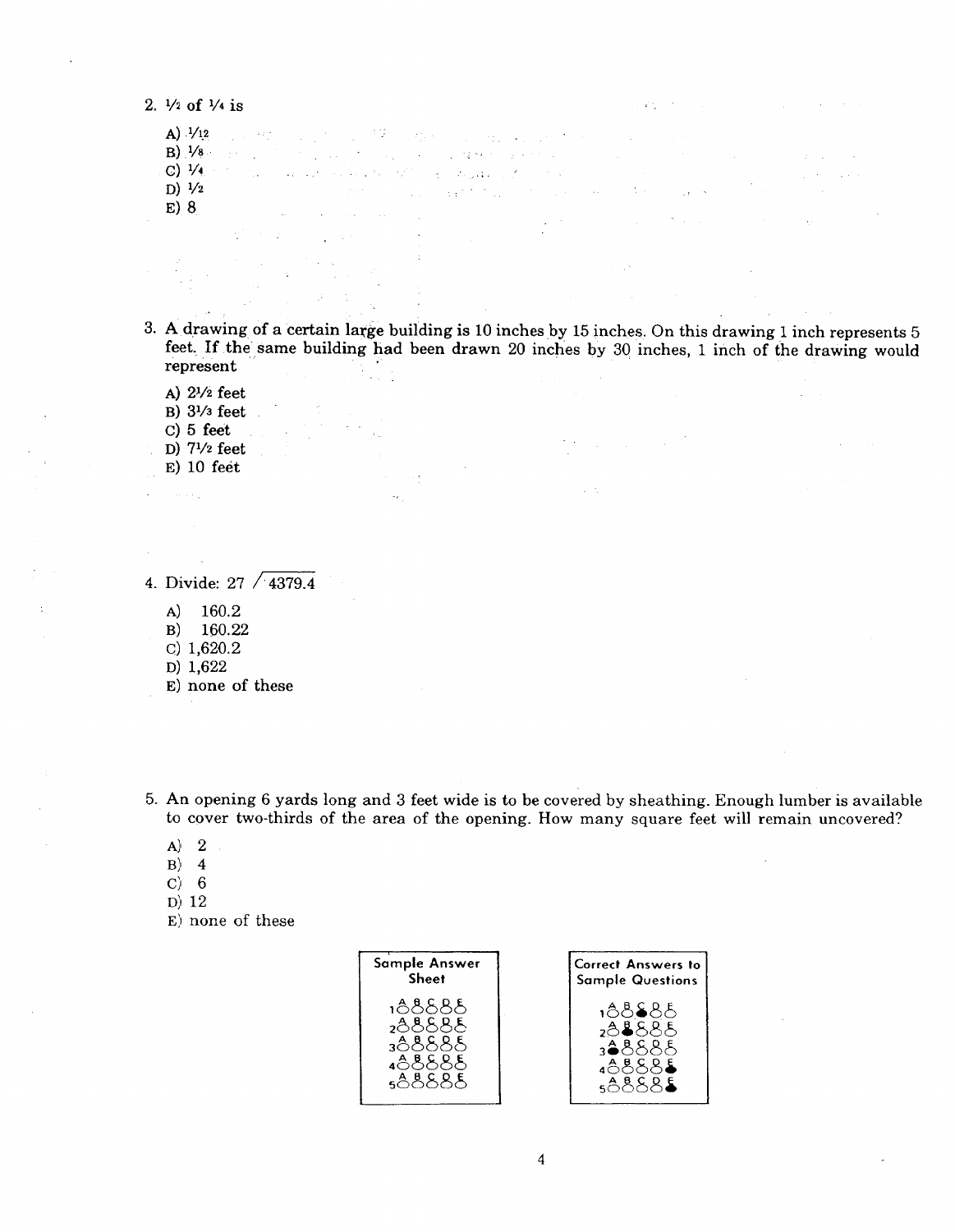$\ddot{\phantom{a}}$ 

|                  | $\bigwedge_{i=1}^{n} \mathcal{M}$ is a set of the set of $\mathcal{V}$ in the set of the set of the set of the set of the set of the set                                                                                                |  |
|------------------|-----------------------------------------------------------------------------------------------------------------------------------------------------------------------------------------------------------------------------------------|--|
|                  | $\mathrm{B)}$ , $\mathcal{V}$ and the set of the set of the set of the set of the set of the set of the set of the set of the set of the set of the set of the set of the set of the set of the set of the set of the set of the set of |  |
|                  | $\mathbb C$ ) $\mathcal V$ and the companion of the companion of the companion of the companion of the companion of the companion                                                                                                       |  |
| D) $\frac{1}{2}$ | 1999年,1999年10月,1999年10月,1999年10月,1999年,1999年,1999年,1999年,1999年,1999年,1999年,1999年,                                                                                                                                                       |  |
| E) 8             | the control of the control of the control of                                                                                                                                                                                            |  |

3. A drawing of a certain large building is 10 inches by 15 inches . On this drawing 1 inch represents 5 feet. If the same building had been drawn 20 inches by 30 inches, 1 inch of the drawing would represent represent

 $\mathbb{Z}^{\times}$  t

A) 21/2 feet B) 31/3 feet C) 5 feet D) 71/2 feet E) 10 feet

 $\alpha \rightarrow \alpha \gamma$ 

4. Divide: 27 / 4379.4

A) 160.2 B) 160.22 C) 1,620.2 D) 1,622 E) none of these

- 5. An opening 6 yards long and 3 feet wide is to be covered by sheathing . Enough lumber is available to cover two-thirds of the area of the opening. How many square feet will remain uncovered?
	- A) 2<br>B) 4
	- $B)$
	- C) 6
	- D) 12
	- E) none of these

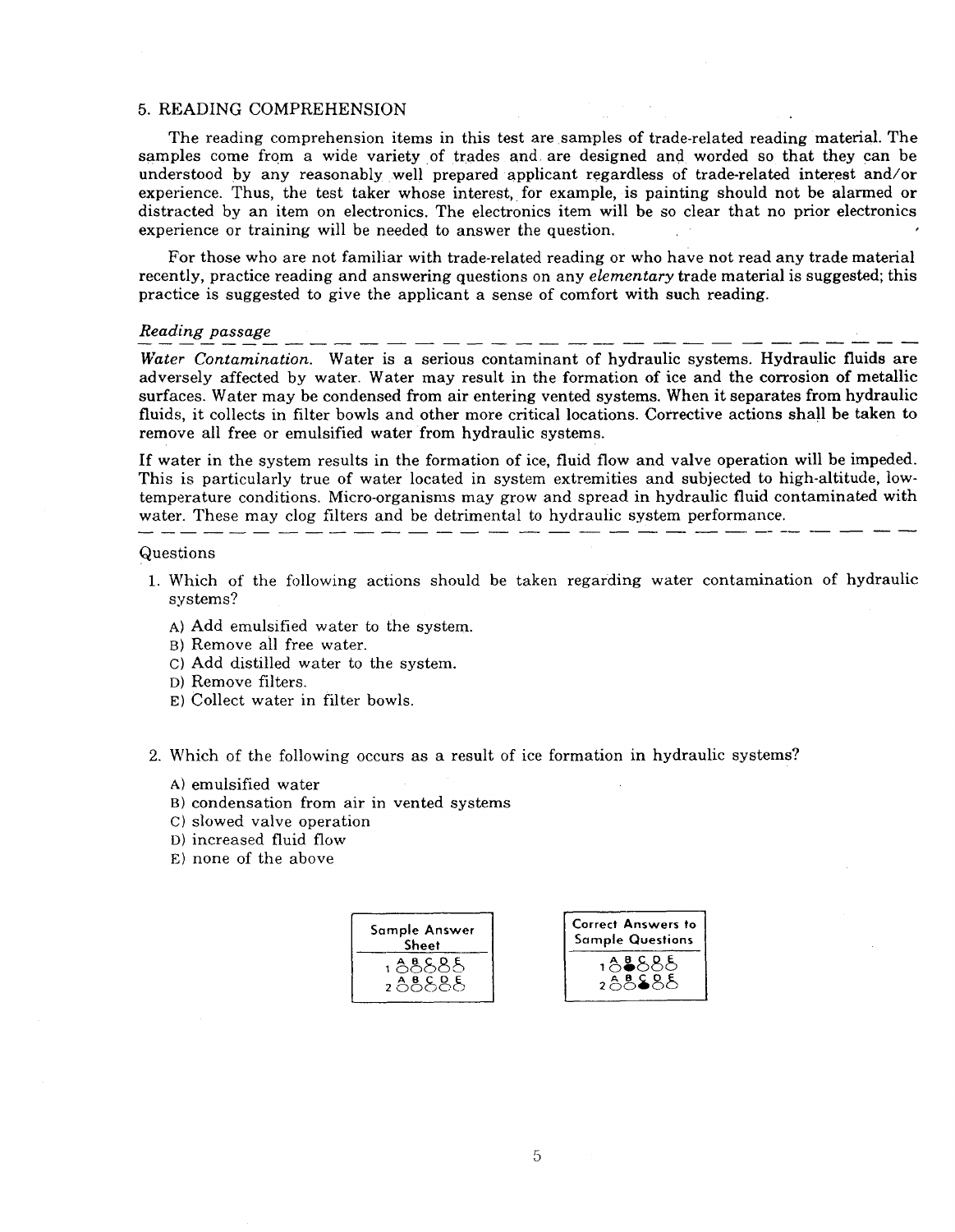# <sup>5</sup> . READING COMPREHENSION

The reading comprehension items in this test are samples of trade-related reading material . The samples come from a wide variety of trades and . are designed and worded so that they can be understood by any reasonably well prepared applicant regardless of trade-related interest and/or experience. Thus, the test taker whose interest, for example, is painting should not be alarmed or distracted by an item on electronics . The electronics item will be so clear that no prior electronics experience or training will be needed to answer the question.

For those who are not familiar with trade-related reading or who have not read any trade material recently, practice reading and answering questions on any *elementary* trade material is suggested; this practice is suggested to give the applicant a sense of comfort with such reading .

### Reading passage

Water Contamination. Water is a serious contaminant of hydraulic systems. Hydraulic fluids are adversely affected by water. Water may result in the formation of ice and the corrosion of metallic surfaces. Water may be condensed from air entering vented systems. When it separates from hydraulic fluids, it collects in filter bowls and other more critical locations. Corrective actions shall be taken to remove all free or emulsified water from hydraulic systems .

If water in the system results in the formation of ice, fluid flow and valve operation will be impeded . This is particularly true of water located in system extremities and subjected to high-altitude, lowtemperature conditions. Micro-organisms may grow and spread in hydraulic fluid contaminated with water. These may clog filters and be detrimental to hydraulic system performance.

### Questions

- 1 . Which of the following actions should be taken regarding water contamination of hydraulic systems?
	- A) Add emulsified water to the system.
	- B) Remove all free water.
	- C) Add distilled water to the system .
	- D) Remove filters.
	- E) Collect water in filter bowls .

2 . Which of the following occurs as a result of ice formation in hydraulic systems?

- A) emulsified water
- B) condensation from air in vented systems
- C) slowed valve operation
- D) increased fluid flow
- E) none of the above



Correct Answers to Sample Questions  $10 - 8885$ 2 A A S A S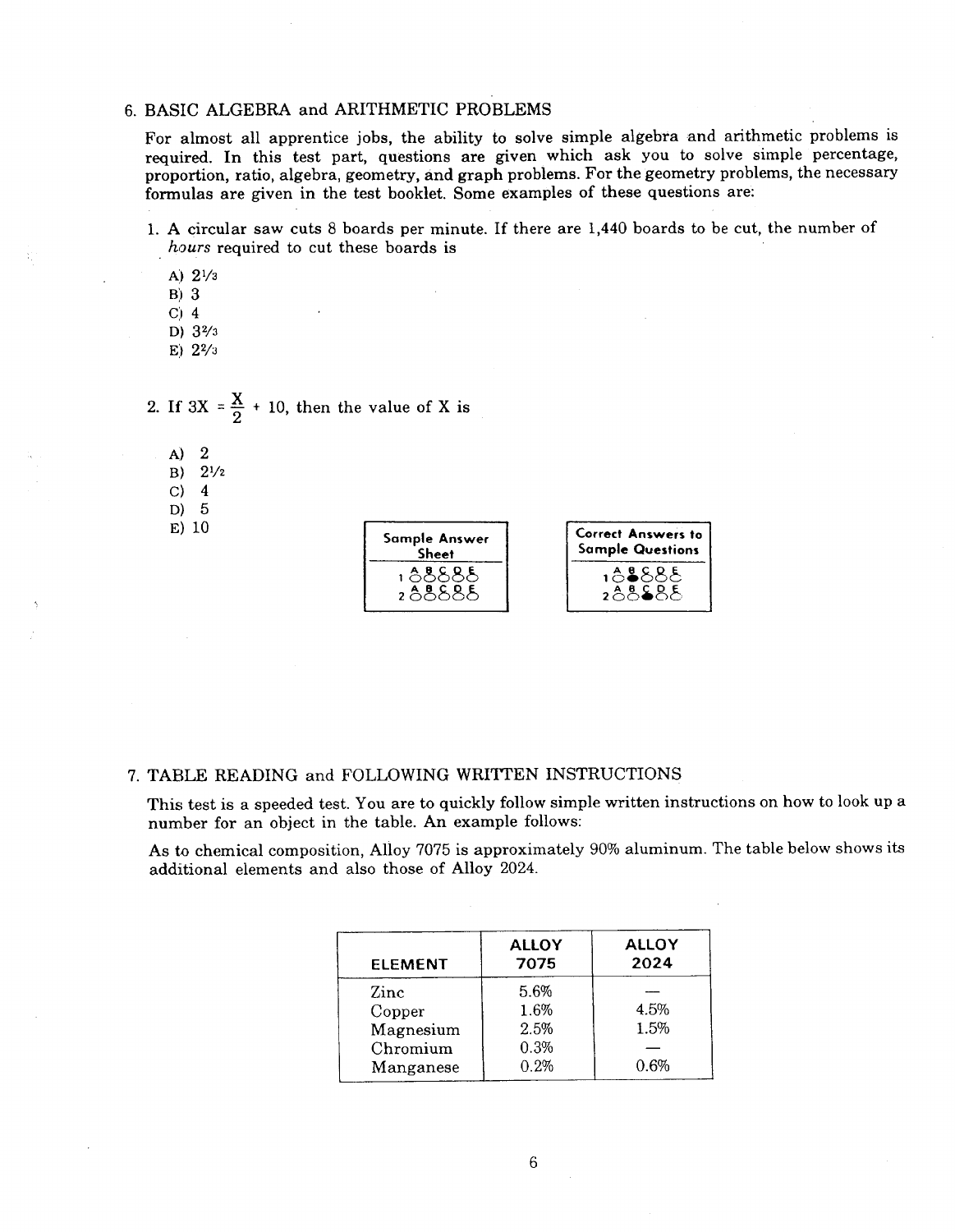## <sup>6</sup> . BASIC ALGEBRA and ARITHMETIC PROBLEMS

For almost all apprentice jobs, the ability to solve simple algebra and arithmetic problems is required. In this test part, questions are given which ask you to solve simple percentage, proportion, ratio, algebra, geometry, and graph problems. For the geometry problems, the necessary formulas are given in the test booklet. Some examples of these questions are:

- <sup>1</sup> . A circular saw cuts 8 boards per minute . If there are 1,440 boards to be cut, the number of hours required to cut these boards is
	- A)  $2^{1/3}$ B:) 3 C) 4 D) 3 2/3 E) 22/3

2. If  $3X = \frac{X}{2} + 10$ , then the value of X is

- A) 2  $B)$   $2^{1/2}$  $C$ ) 4 D) 5 E) 10
- Sample Answer Sample Ar<br>Sheet<br>1.000 18888 28888 Correct Answers to Sample Questions  $10.888$  $200-88$

# <sup>7</sup> . TABLE READING and FOLLOWING WRITTEN INSTRUCTIONS

This test is a speeded test. You are to quickly follow simple written instructions on how to look up a number for an object in the table. An example follows:

As to chemical composition, Alloy 7075 is approximately 90% aluminum . The table below shows its additional elements and also those of Alloy 2024.

| <b>ELEMENT</b> | <b>ALLOY</b><br>7075 | <b>ALLOY</b><br>2024 |
|----------------|----------------------|----------------------|
| Zinc           | 5.6%                 |                      |
| Copper         | 1.6%                 | 4.5%                 |
| Magnesium      | 2.5%                 | 1.5%                 |
| Chromium       | 0.3%                 |                      |
| Manganese      | 0.2%                 | 0.6%                 |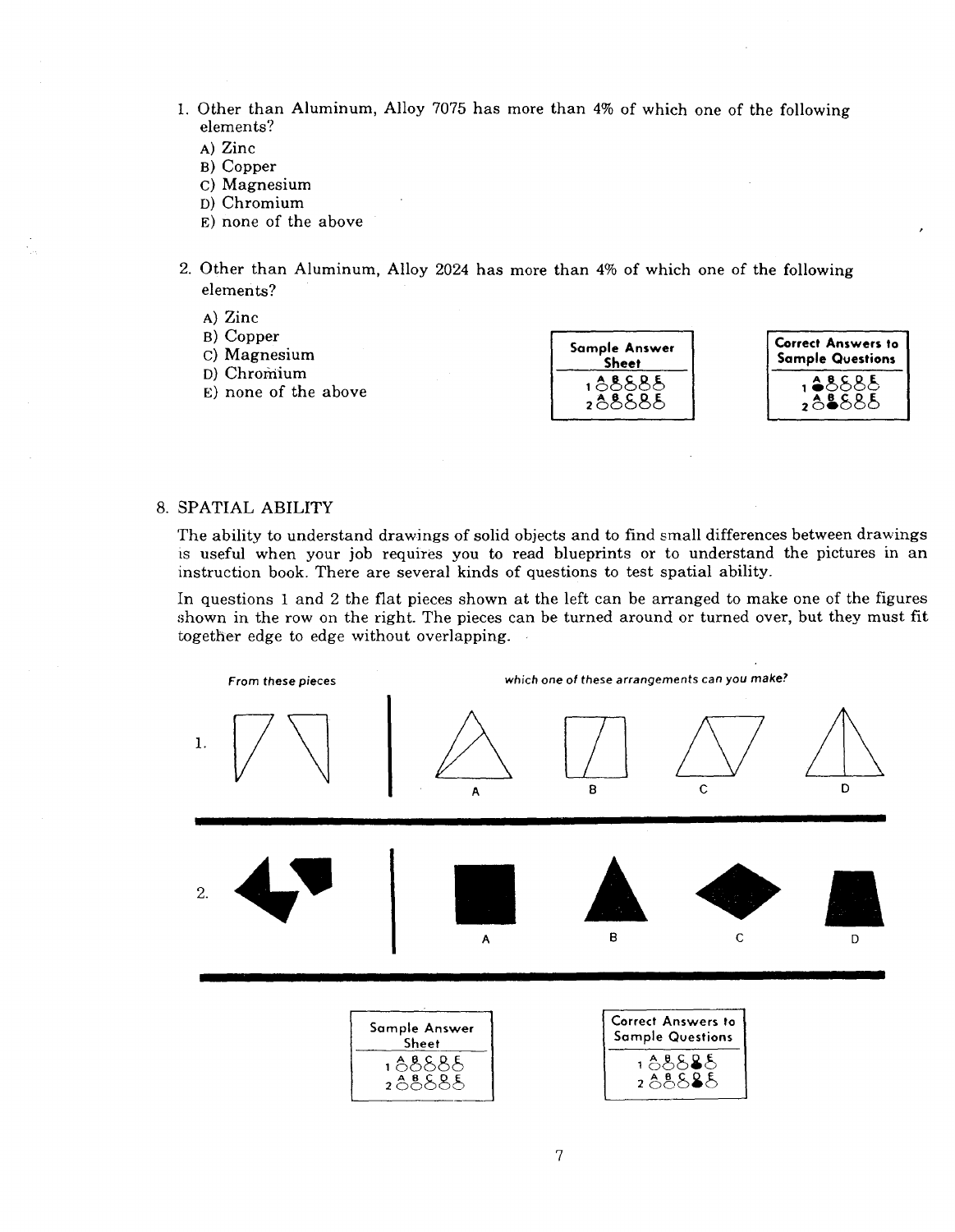- 1 . Other than Aluminum, Alloy 7075 has more than 4% of which one of the following elements?
	- A) Zinc

 

- B) Copper
- C) Magnesium
- D) Chromium
- E) none of the above
- 2. Other than Aluminum, Alloy 2024 has more than 4% of which one of the following elements?
	- A) Zinc
	- B) Copper
	- C) Magnesium
	- D) Chromium
	- E) none of the above

| Sample Answer<br><b>Sheet</b> |  |
|-------------------------------|--|
| 188885<br>238885              |  |



# 8. SPATIAL ABILITY

The ability to understand drawings of solid objects and to find small differences between drawings is useful when your job requires you to read blueprints or to understand the pictures in an instruction book . There are several kinds of questions to test spatial ability.

In questions 1 and 2 the flat pieces shown at the left can be arranged to make one of the figures shown in the row on the right. The pieces can be turned around or turned over, but they must fit together edge to edge without overlapping.  $\sim$